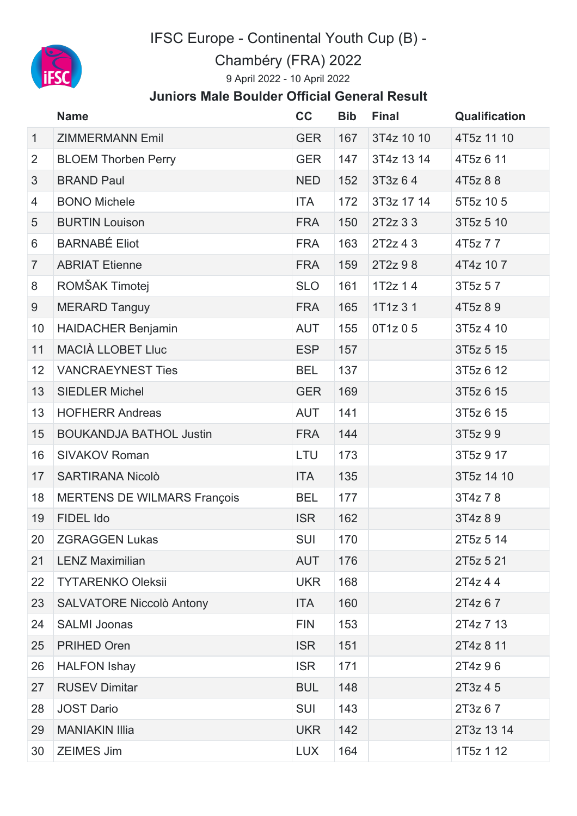

IFSC Europe - Continental Youth Cup (B) -

Chambéry (FRA) 2022

April 2022 - 10 April 2022

## **Juniors Male Boulder Official General Result**

|                | <b>Name</b>                        | cc         | <b>Bib</b> | <b>Final</b> | <b>Qualification</b> |
|----------------|------------------------------------|------------|------------|--------------|----------------------|
| $\mathbf{1}$   | <b>ZIMMERMANN Emil</b>             | <b>GER</b> | 167        | 3T4z 10 10   | 4T5z 11 10           |
| $\overline{2}$ | <b>BLOEM Thorben Perry</b>         | <b>GER</b> | 147        | 3T4z 13 14   | 4T5z 6 11            |
| $\mathfrak{S}$ | <b>BRAND Paul</b>                  | <b>NED</b> | 152        | 3T3z 64      | 4T5z 8 8             |
| $\overline{4}$ | <b>BONO Michele</b>                | <b>ITA</b> | 172        | 3T3z 17 14   | 5T5z 105             |
| 5              | <b>BURTIN Louison</b>              | <b>FRA</b> | 150        | 2T2z 3 3     | 3T5z 5 10            |
| 6              | <b>BARNABÉ Eliot</b>               | <b>FRA</b> | 163        | 2T2z 43      | 4T5z 7 7             |
| $\overline{7}$ | <b>ABRIAT Etienne</b>              | <b>FRA</b> | 159        | 2T2z 98      | 4T4z 107             |
| 8              | ROMŠAK Timotej                     | <b>SLO</b> | 161        | $1T2z$ 14    | 3T5z 57              |
| 9              | <b>MERARD Tanguy</b>               | <b>FRA</b> | 165        | 1T1z 31      | 4T5z 89              |
| 10             | <b>HAIDACHER Benjamin</b>          | <b>AUT</b> | 155        | 0T1z 0 5     | 3T5z 4 10            |
| 11             | <b>MACIÀ LLOBET LIuc</b>           | <b>ESP</b> | 157        |              | 3T5z 5 15            |
| 12             | <b>VANCRAEYNEST Ties</b>           | <b>BEL</b> | 137        |              | 3T5z 6 12            |
| 13             | <b>SIEDLER Michel</b>              | <b>GER</b> | 169        |              | 3T5z 6 15            |
| 13             | <b>HOFHERR Andreas</b>             | <b>AUT</b> | 141        |              | 3T5z 6 15            |
| 15             | <b>BOUKANDJA BATHOL Justin</b>     | <b>FRA</b> | 144        |              | 3T5z 99              |
| 16             | <b>SIVAKOV Roman</b>               | LTU        | 173        |              | 3T5z 9 17            |
| 17             | <b>SARTIRANA Nicolò</b>            | <b>ITA</b> | 135        |              | 3T5z 14 10           |
| 18             | <b>MERTENS DE WILMARS François</b> | <b>BEL</b> | 177        |              | 3T4z 78              |
| 19             | FIDEL Ido                          | <b>ISR</b> | 162        |              | 3T4z 89              |
| 20             | <b>ZGRAGGEN Lukas</b>              | SUI        | 170        |              | 2T5z 5 14            |
| 21             | <b>LENZ Maximilian</b>             | <b>AUT</b> | 176        |              | 2T5z 5 21            |
| 22             | <b>TYTARENKO Oleksii</b>           | <b>UKR</b> | 168        |              | 2T4z 44              |
| 23             | <b>SALVATORE Niccolò Antony</b>    | <b>ITA</b> | 160        |              | 2T4z 67              |
| 24             | <b>SALMI Joonas</b>                | <b>FIN</b> | 153        |              | 2T4z 7 13            |
| 25             | <b>PRIHED Oren</b>                 | <b>ISR</b> | 151        |              | 2T4z 8 11            |
| 26             | <b>HALFON Ishay</b>                | <b>ISR</b> | 171        |              | 2T4z 96              |
| 27             | <b>RUSEV Dimitar</b>               | <b>BUL</b> | 148        |              | 2T3z 4 5             |
| 28             | <b>JOST Dario</b>                  | <b>SUI</b> | 143        |              | 2T3z 67              |
| 29             | <b>MANIAKIN Illia</b>              | <b>UKR</b> | 142        |              | 2T3z 13 14           |
| 30             | <b>ZEIMES Jim</b>                  | <b>LUX</b> | 164        |              | 1T5z 1 12            |